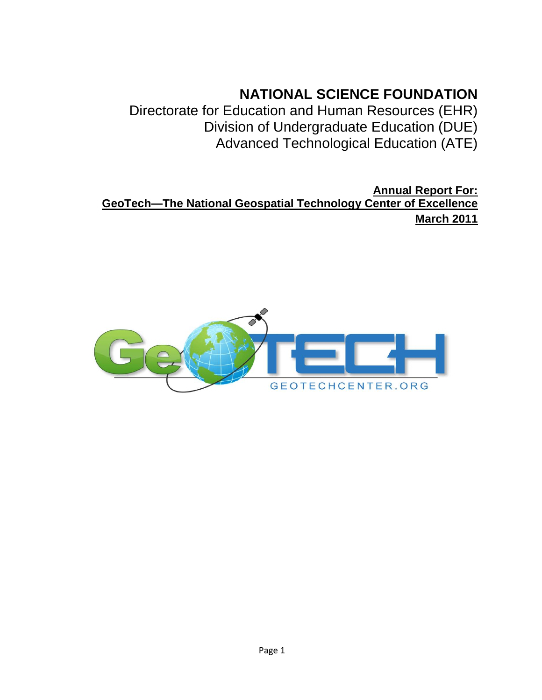# **NATIONAL SCIENCE FOUNDATION**

Directorate for Education and Human Resources (EHR) Division of Undergraduate Education (DUE) Advanced Technological Education (ATE)

**Annual Report For: GeoTech—The National Geospatial Technology Center of Excellence March 2011**

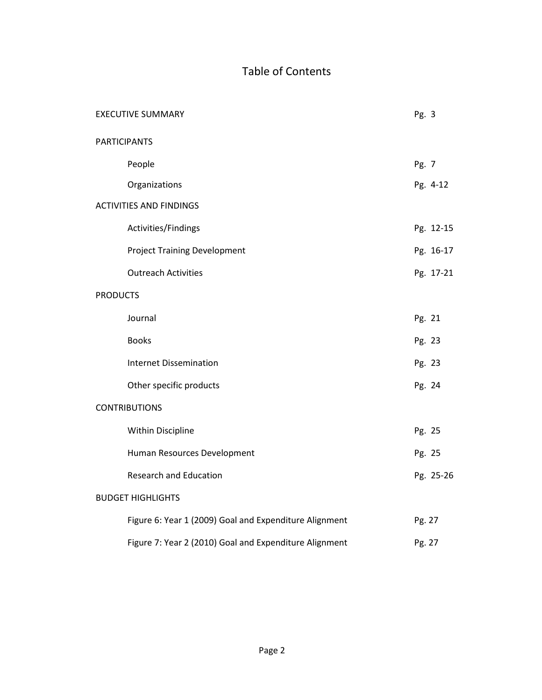## Table of Contents

|                 | <b>EXECUTIVE SUMMARY</b>                               | Pg. 3  |           |
|-----------------|--------------------------------------------------------|--------|-----------|
|                 | <b>PARTICIPANTS</b>                                    |        |           |
|                 | People                                                 | Pg. 7  |           |
|                 | Organizations                                          |        | Pg. 4-12  |
|                 | <b>ACTIVITIES AND FINDINGS</b>                         |        |           |
|                 | Activities/Findings                                    |        | Pg. 12-15 |
|                 | <b>Project Training Development</b>                    |        | Pg. 16-17 |
|                 | <b>Outreach Activities</b>                             |        | Pg. 17-21 |
| <b>PRODUCTS</b> |                                                        |        |           |
|                 | Journal                                                | Pg. 21 |           |
|                 | <b>Books</b>                                           | Pg. 23 |           |
|                 | <b>Internet Dissemination</b>                          | Pg. 23 |           |
|                 | Other specific products                                | Pg. 24 |           |
|                 | <b>CONTRIBUTIONS</b>                                   |        |           |
|                 | <b>Within Discipline</b>                               | Pg. 25 |           |
|                 | Human Resources Development                            | Pg. 25 |           |
|                 | Research and Education                                 |        | Pg. 25-26 |
|                 | <b>BUDGET HIGHLIGHTS</b>                               |        |           |
|                 | Figure 6: Year 1 (2009) Goal and Expenditure Alignment | Pg. 27 |           |
|                 | Figure 7: Year 2 (2010) Goal and Expenditure Alignment | Pg. 27 |           |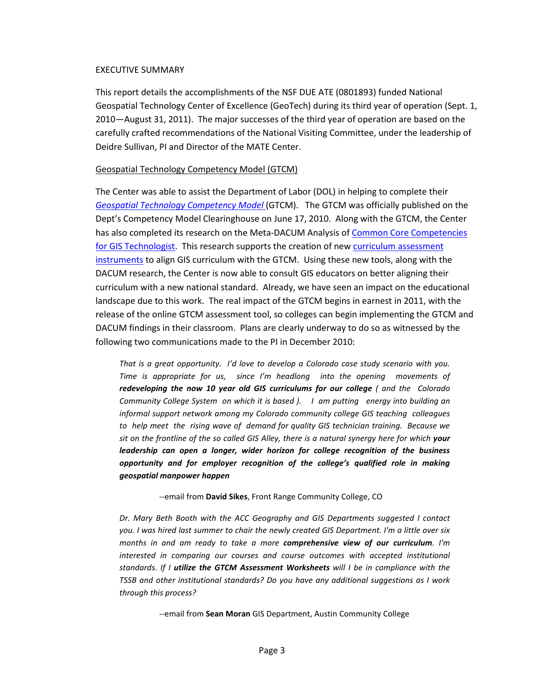#### EXECUTIVE SUMMARY

This report details the accomplishments of the NSF DUE ATE (0801893) funded National Geospatial Technology Center of Excellence (GeoTech) during its third year of operation (Sept. 1, 2010—August 31, 2011). The major successes of the third year of operation are based on the carefully crafted recommendations of the National Visiting Committee, under the leadership of Deidre Sullivan, PI and Director of the MATE Center.

#### Geospatial Technology Competency Model (GTCM)

The Center was able to assist the Department of Labor (DOL) in helping to complete their *[Geospatial Technology Competency Model](http://www.careeronestop.org/competencymodel/pyramid.aspx?GEO=Y)* (GTCM). The GTCM was officially published on the Dept's Competency Model Clearinghouse on June 17, 2010. Along with the GTCM, the Center has also completed its research on the Meta-DACUM Analysis o[f Common Core Competencies](http://www.geotechcenter.org/Resources/Publications/GIS-Technician-MetaDACUM-Supplemental-Report)  [for GIS Technologist.](http://www.geotechcenter.org/Resources/Publications/GIS-Technician-MetaDACUM-Supplemental-Report) This research supports the creation of new curriculum assessment [instruments](http://www.geotechcenter.org/Resources/Resource-Center/Curriculum/GTCM-Quantitative-Assessment-Form) to align GIS curriculum with the GTCM. Using these new tools, along with the DACUM research, the Center is now able to consult GIS educators on better aligning their curriculum with a new national standard. Already, we have seen an impact on the educational landscape due to this work. The real impact of the GTCM begins in earnest in 2011, with the release of the online GTCM assessment tool, so colleges can begin implementing the GTCM and DACUM findings in their classroom. Plans are clearly underway to do so as witnessed by the following two communications made to the PI in December 2010:

*That is a great opportunity. I'd love to develop a Colorado case study scenario with you. Time is appropriate for us, since I'm headlong into the opening movements of redeveloping the now 10 year old GIS curriculums for our college ( and the Colorado Community College System on which it is based ). I am putting energy into building an informal support network among my Colorado community college GIS teaching colleagues to help meet the rising wave of demand for quality GIS technician training. Because we sit on the frontline of the so called GIS Alley, there is a natural synergy here for which your leadership can open a longer, wider horizon for college recognition of the business opportunity and for employer recognition of the college's qualified role in making geospatial manpower happen*

--email from **David Sikes**, Front Range Community College, CO

*Dr. Mary Beth Booth with the ACC Geography and GIS Departments suggested I contact you. I was hired last summer to chair the newly created GIS Department. I'm a little over six months in and am ready to take a more comprehensive view of our curriculum. I'm interested in comparing our courses and course outcomes with accepted institutional standards. If I utilize the GTCM Assessment Worksheets will I be in compliance with the TSSB and other institutional standards? Do you have any additional suggestions as I work through this process?*

--email from **Sean Moran** GIS Department, Austin Community College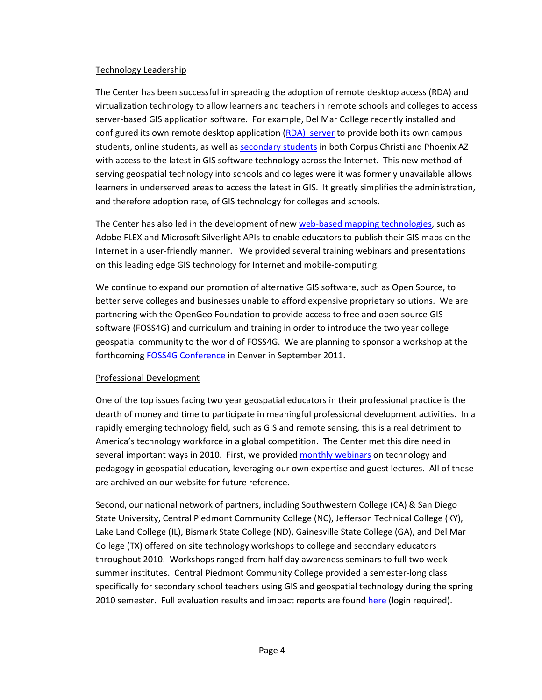## Technology Leadership

The Center has been successful in spreading the adoption of remote desktop access (RDA) and virtualization technology to allow learners and teachers in remote schools and colleges to access server-based GIS application software. For example, Del Mar College recently installed and configured its own remote desktop application [\(RDA\) server](http://www.geotechcenter.org/Projects/Research-Projects/Remote-Desktop-Access-to-GIS-Applications) to provide both its own campus students, online students, as well a[s secondary students](http://www.geotechcenter.org/Projects/Research-Projects/HP-Catalyst-Initiative) in both Corpus Christi and Phoenix AZ with access to the latest in GIS software technology across the Internet. This new method of serving geospatial technology into schools and colleges were it was formerly unavailable allows learners in underserved areas to access the latest in GIS. It greatly simplifies the administration, and therefore adoption rate, of GIS technology for colleges and schools.

The Center has also led in the development of ne[w web-based mapping technologies,](http://www.geotechcenter.org/Projects/Research-Projects/Web-based-Interactive-Mapping-Interfaces) such as Adobe FLEX and Microsoft Silverlight APIs to enable educators to publish their GIS maps on the Internet in a user-friendly manner. We provided several training webinars and presentations on this leading edge GIS technology for Internet and mobile-computing.

We continue to expand our promotion of alternative GIS software, such as Open Source, to better serve colleges and businesses unable to afford expensive proprietary solutions. We are partnering with the OpenGeo Foundation to provide access to free and open source GIS software (FOSS4G) and curriculum and training in order to introduce the two year college geospatial community to the world of FOSS4G. We are planning to sponsor a workshop at the forthcomin[g FOSS4G Conference i](http://2011.foss4g.org/)n Denver in September 2011.

## Professional Development

One of the top issues facing two year geospatial educators in their professional practice is the dearth of money and time to participate in meaningful professional development activities. In a rapidly emerging technology field, such as GIS and remote sensing, this is a real detriment to America's technology workforce in a global competition. The Center met this dire need in several important ways in 2010. First, we provide[d monthly webinars](http://www.geotechcenter.org/Education-Training/Professional-Development/GeoTech-Center-Offerings/Webinar-Archives) on technology and pedagogy in geospatial education, leveraging our own expertise and guest lectures. All of these are archived on our website for future reference.

Second, our national network of partners, including Southwestern College (CA) & San Diego State University, Central Piedmont Community College (NC), Jefferson Technical College (KY), Lake Land College (IL), Bismark State College (ND), Gainesville State College (GA), and Del Mar College (TX) offered on site technology workshops to college and secondary educators throughout 2010. Workshops ranged from half day awareness seminars to full two week summer institutes. Central Piedmont Community College provided a semester-long class specifically for secondary school teachers using GIS and geospatial technology during the spring 2010 semester. Full evaluation results and impact reports are found [here](http://www.geotechcenter.org/Evaluation/Evaluation-Reports) (login required).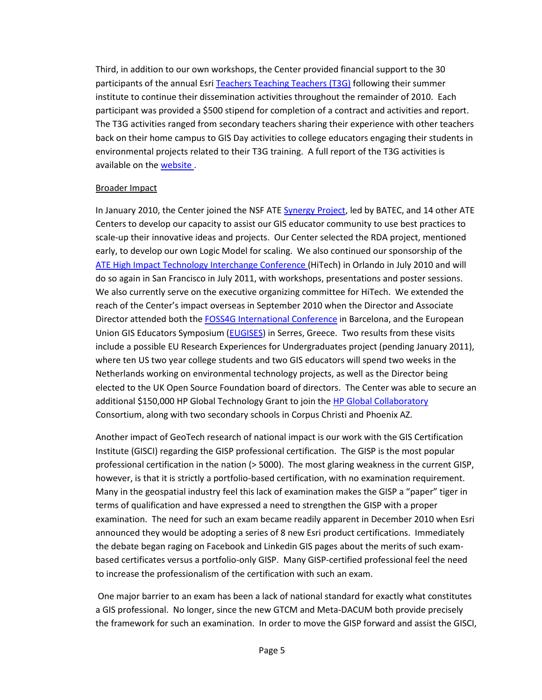Third, in addition to our own workshops, the Center provided financial support to the 30 participants of the annual Esri [Teachers Teaching Teachers \(T3G\)](http://edcommunity.esri.com/community/institute2011/index.cfm) following their summer institute to continue their dissemination activities throughout the remainder of 2010. Each participant was provided a \$500 stipend for completion of a contract and activities and report. The T3G activities ranged from secondary teachers sharing their experience with other teachers back on their home campus to GIS Day activities to college educators engaging their students in environmental projects related to their T3G training. A full report of the T3G activities is available on the website.

## Broader Impact

In January 2010, the Center joined the NSF AT[E Synergy Project,](http://www.geotechcenter.org/Projects/Research-Projects/Synergy-Project-Achieving-Scale-in-Innovation) led by BATEC, and 14 other ATE Centers to develop our capacity to assist our GIS educator community to use best practices to scale-up their innovative ideas and projects. Our Center selected the RDA project, mentioned early, to develop our own Logic Model for scaling. We also continued our sponsorship of the [ATE High Impact Technology Interchange Conference \(](http://www.highimpact-tec.org/)HiTech) in Orlando in July 2010 and will do so again in San Francisco in July 2011, with workshops, presentations and poster sessions. We also currently serve on the executive organizing committee for HiTech. We extended the reach of the Center's impact overseas in September 2010 when the Director and Associate Director attended both th[e FOSS4G International Conference](http://2010.foss4g.org/) in Barcelona, and the European Union GIS Educators Symposium [\(EUGISES\)](http://www.eugises.eu/) in Serres, Greece. Two results from these visits include a possible EU Research Experiences for Undergraduates project (pending January 2011), where ten US two year college students and two GIS educators will spend two weeks in the Netherlands working on environmental technology projects, as well as the Director being elected to the UK Open Source Foundation board of directors. The Center was able to secure an additional \$150,000 HP Global Technology Grant to join the [HP Global Collaboratory](http://istelearning.org/hp-catalyst/2010/11/12/global-collaboratory-consortia-overview/) Consortium, along with two secondary schools in Corpus Christi and Phoenix AZ.

Another impact of GeoTech research of national impact is our work with the GIS Certification Institute (GISCI) regarding the GISP professional certification. The GISP is the most popular professional certification in the nation (> 5000). The most glaring weakness in the current GISP, however, is that it is strictly a portfolio-based certification, with no examination requirement. Many in the geospatial industry feel this lack of examination makes the GISP a "paper" tiger in terms of qualification and have expressed a need to strengthen the GISP with a proper examination. The need for such an exam became readily apparent in December 2010 when Esri announced they would be adopting a series of 8 new Esri product certifications. Immediately the debate began raging on Facebook and Linkedin GIS pages about the merits of such exambased certificates versus a portfolio-only GISP. Many GISP-certified professional feel the need to increase the professionalism of the certification with such an exam.

One major barrier to an exam has been a lack of national standard for exactly what constitutes a GIS professional. No longer, since the new GTCM and Meta-DACUM both provide precisely the framework for such an examination. In order to move the GISP forward and assist the GISCI,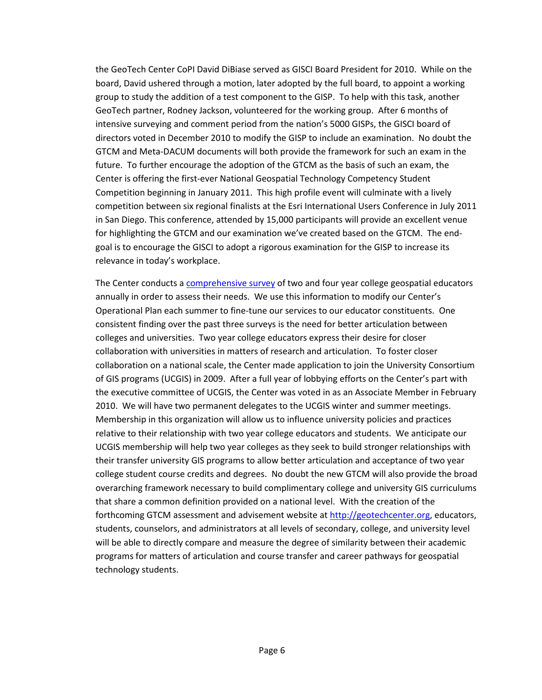the GeoTech Center CoPI David DiBiase served as GISCI Board President for 2010. While on the board, David ushered through a motion, later adopted by the full board, to appoint a working group to study the addition of a test component to the GISP. To help with this task, another GeoTech partner, Rodney Jackson, volunteered for the working group. After 6 months of intensive surveying and comment period from the nation's 5000 GISPs, the GISCI board of directors voted in December 2010 to modify the GISP to include an examination. No doubt the GTCM and Meta-DACUM documents will both provide the framework for such an exam in the future. To further encourage the adoption of the GTCM as the basis of such an exam, the Center is offering the first-ever National Geospatial Technology Competency Student Competition beginning in January 2011. This high profile event will culminate with a lively competition between six regional finalists at the Esri International Users Conference in July 2011 in San Diego. This conference, attended by 15,000 participants will provide an excellent venue for highlighting the GTCM and our examination we've created based on the GTCM. The endgoal is to encourage the GISCI to adopt a rigorous examination for the GISP to increase its relevance in today's workplace.

The Center conducts a [comprehensive survey](http://www.geotechcenter.org/Evaluation/Evaluation-Reports/Annual-Survey-of-Geo-Educators) of two and four year college geospatial educators annually in order to assess their needs. We use this information to modify our Center's Operational Plan each summer to fine-tune our services to our educator constituents. One consistent finding over the past three surveys is the need for better articulation between colleges and universities. Two year college educators express their desire for closer collaboration with universities in matters of research and articulation. To foster closer collaboration on a national scale, the Center made application to join the University Consortium of GIS programs (UCGIS) in 2009. After a full year of lobbying efforts on the Center's part with the executive committee of UCGIS, the Center was voted in as an Associate Member in February 2010. We will have two permanent delegates to the UCGIS winter and summer meetings. Membership in this organization will allow us to influence university policies and practices relative to their relationship with two year college educators and students. We anticipate our UCGIS membership will help two year colleges as they seek to build stronger relationships with their transfer university GIS programs to allow better articulation and acceptance of two year college student course credits and degrees. No doubt the new GTCM will also provide the broad overarching framework necessary to build complimentary college and university GIS curriculums that share a common definition provided on a national level. With the creation of the forthcoming GTCM assessment and advisement website at [http://geotechcenter.org,](http://geotechcenter.org/) educators, students, counselors, and administrators at all levels of secondary, college, and university level will be able to directly compare and measure the degree of similarity between their academic programs for matters of articulation and course transfer and career pathways for geospatial technology students.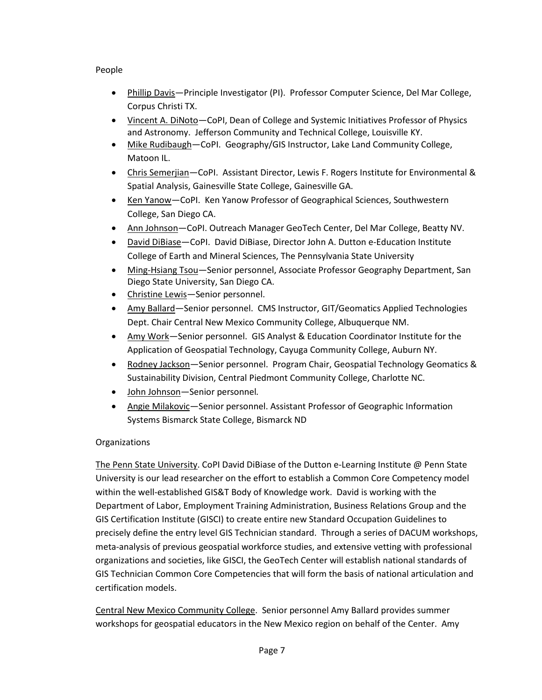## People

- Phillip Davis—Principle Investigator (PI). Professor Computer Science, Del Mar College, Corpus Christi TX.
- Vincent A. DiNoto—CoPI, Dean of College and Systemic Initiatives Professor of Physics and Astronomy. Jefferson Community and Technical College, Louisville KY.
- Mike Rudibaugh-CoPI. Geography/GIS Instructor, Lake Land Community College, Matoon IL.
- Chris Semerjian—CoPI. Assistant Director, Lewis F. Rogers Institute for Environmental & Spatial Analysis, Gainesville State College, Gainesville GA.
- Ken Yanow—CoPI. Ken Yanow Professor of Geographical Sciences, Southwestern College, San Diego CA.
- Ann Johnson-CoPI. Outreach Manager GeoTech Center, Del Mar College, Beatty NV.
- David DiBiase—CoPI. David DiBiase, Director John A. Dutton e-Education Institute College of Earth and Mineral Sciences, The Pennsylvania State University
- Ming-Hsiang Tsou-Senior personnel, Associate Professor Geography Department, San Diego State University, San Diego CA.
- Christine Lewis-Senior personnel.
- Amy Ballard—Senior personnel. CMS Instructor, GIT/Geomatics Applied Technologies Dept. Chair Central New Mexico Community College, Albuquerque NM.
- Amy Work—Senior personnel. GIS Analyst & Education Coordinator Institute for the Application of Geospatial Technology, Cayuga Community College, Auburn NY.
- Rodney Jackson-Senior personnel. Program Chair, Geospatial Technology Geomatics & Sustainability Division, Central Piedmont Community College, Charlotte NC.
- John Johnson—Senior personnel*.*
- Angie Milakovic—Senior personnel. Assistant Professor of Geographic Information Systems Bismarck State College, Bismarck ND

## **Organizations**

The Penn State University. CoPI David DiBiase of the Dutton e-Learning Institute @ Penn State University is our lead researcher on the effort to establish a Common Core Competency model within the well-established GIS&T Body of Knowledge work. David is working with the Department of Labor, Employment Training Administration, Business Relations Group and the GIS Certification Institute (GISCI) to create entire new Standard Occupation Guidelines to precisely define the entry level GIS Technician standard. Through a series of DACUM workshops, meta-analysis of previous geospatial workforce studies, and extensive vetting with professional organizations and societies, like GISCI, the GeoTech Center will establish national standards of GIS Technician Common Core Competencies that will form the basis of national articulation and certification models.

Central New Mexico Community College. Senior personnel Amy Ballard provides summer workshops for geospatial educators in the New Mexico region on behalf of the Center. Amy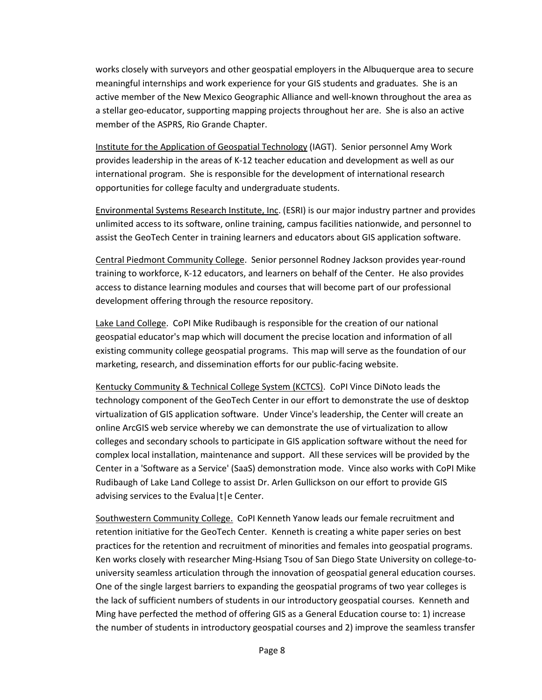works closely with surveyors and other geospatial employers in the Albuquerque area to secure meaningful internships and work experience for your GIS students and graduates. She is an active member of the New Mexico Geographic Alliance and well-known throughout the area as a stellar geo-educator, supporting mapping projects throughout her are. She is also an active member of the ASPRS, Rio Grande Chapter.

Institute for the Application of Geospatial Technology (IAGT). Senior personnel Amy Work provides leadership in the areas of K-12 teacher education and development as well as our international program. She is responsible for the development of international research opportunities for college faculty and undergraduate students.

Environmental Systems Research Institute, Inc. (ESRI) is our major industry partner and provides unlimited access to its software, online training, campus facilities nationwide, and personnel to assist the GeoTech Center in training learners and educators about GIS application software.

Central Piedmont Community College. Senior personnel Rodney Jackson provides year-round training to workforce, K-12 educators, and learners on behalf of the Center. He also provides access to distance learning modules and courses that will become part of our professional development offering through the resource repository.

Lake Land College. CoPI Mike Rudibaugh is responsible for the creation of our national geospatial educator's map which will document the precise location and information of all existing community college geospatial programs. This map will serve as the foundation of our marketing, research, and dissemination efforts for our public-facing website.

Kentucky Community & Technical College System (KCTCS). CoPI Vince DiNoto leads the technology component of the GeoTech Center in our effort to demonstrate the use of desktop virtualization of GIS application software. Under Vince's leadership, the Center will create an online ArcGIS web service whereby we can demonstrate the use of virtualization to allow colleges and secondary schools to participate in GIS application software without the need for complex local installation, maintenance and support. All these services will be provided by the Center in a 'Software as a Service' (SaaS) demonstration mode. Vince also works with CoPI Mike Rudibaugh of Lake Land College to assist Dr. Arlen Gullickson on our effort to provide GIS advising services to the Evalua | t | e Center.

Southwestern Community College. CoPI Kenneth Yanow leads our female recruitment and retention initiative for the GeoTech Center. Kenneth is creating a white paper series on best practices for the retention and recruitment of minorities and females into geospatial programs. Ken works closely with researcher Ming-Hsiang Tsou of San Diego State University on college-touniversity seamless articulation through the innovation of geospatial general education courses. One of the single largest barriers to expanding the geospatial programs of two year colleges is the lack of sufficient numbers of students in our introductory geospatial courses. Kenneth and Ming have perfected the method of offering GIS as a General Education course to: 1) increase the number of students in introductory geospatial courses and 2) improve the seamless transfer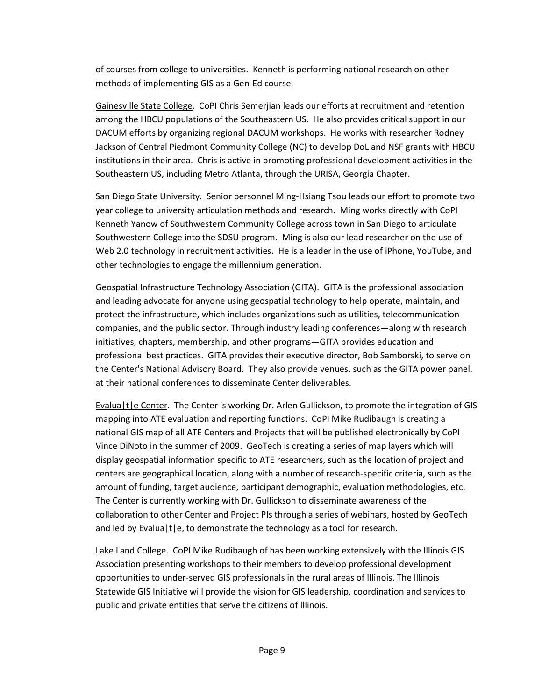of courses from college to universities. Kenneth is performing national research on other methods of implementing GIS as a Gen-Ed course.

Gainesville State College. CoPI Chris Semerjian leads our efforts at recruitment and retention among the HBCU populations of the Southeastern US. He also provides critical support in our DACUM efforts by organizing regional DACUM workshops. He works with researcher Rodney Jackson of Central Piedmont Community College (NC) to develop DoL and NSF grants with HBCU institutions in their area. Chris is active in promoting professional development activities in the Southeastern US, including Metro Atlanta, through the URISA, Georgia Chapter.

San Diego State University. Senior personnel Ming-Hsiang Tsou leads our effort to promote two year college to university articulation methods and research. Ming works directly with CoPI Kenneth Yanow of Southwestern Community College across town in San Diego to articulate Southwestern College into the SDSU program. Ming is also our lead researcher on the use of Web 2.0 technology in recruitment activities. He is a leader in the use of iPhone, YouTube, and other technologies to engage the millennium generation.

Geospatial Infrastructure Technology Association (GITA). GITA is the professional association and leading advocate for anyone using geospatial technology to help operate, maintain, and protect the infrastructure, which includes organizations such as utilities, telecommunication companies, and the public sector. Through industry leading conferences—along with research initiatives, chapters, membership, and other programs—GITA provides education and professional best practices. GITA provides their executive director, Bob Samborski, to serve on the Center's National Advisory Board. They also provide venues, such as the GITA power panel, at their national conferences to disseminate Center deliverables.

Evalua|t|e Center. The Center is working Dr. Arlen Gullickson, to promote the integration of GIS mapping into ATE evaluation and reporting functions. CoPI Mike Rudibaugh is creating a national GIS map of all ATE Centers and Projects that will be published electronically by CoPI Vince DiNoto in the summer of 2009. GeoTech is creating a series of map layers which will display geospatial information specific to ATE researchers, such as the location of project and centers are geographical location, along with a number of research-specific criteria, such as the amount of funding, target audience, participant demographic, evaluation methodologies, etc. The Center is currently working with Dr. Gullickson to disseminate awareness of the collaboration to other Center and Project PIs through a series of webinars, hosted by GeoTech and led by Evalua $|t|e$ , to demonstrate the technology as a tool for research.

Lake Land College. CoPI Mike Rudibaugh of has been working extensively with the Illinois GIS Association presenting workshops to their members to develop professional development opportunities to under-served GIS professionals in the rural areas of Illinois. The Illinois Statewide GIS Initiative will provide the vision for GIS leadership, coordination and services to public and private entities that serve the citizens of Illinois.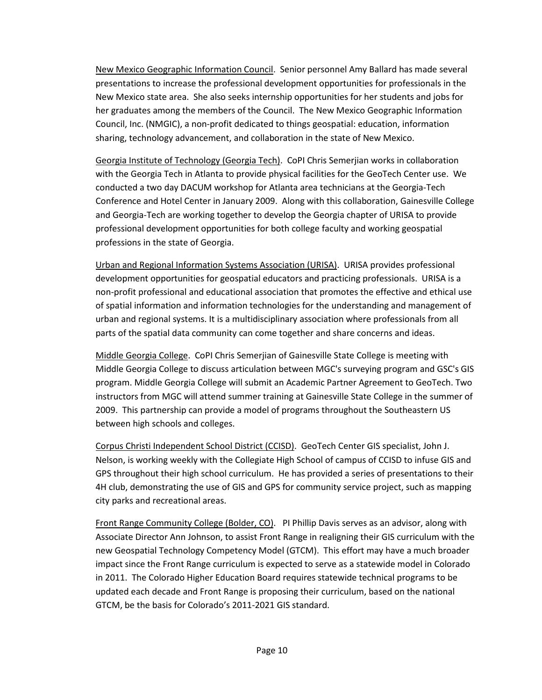New Mexico Geographic Information Council. Senior personnel Amy Ballard has made several presentations to increase the professional development opportunities for professionals in the New Mexico state area. She also seeks internship opportunities for her students and jobs for her graduates among the members of the Council. The New Mexico Geographic Information Council, Inc. (NMGIC), a non-profit dedicated to things geospatial: education, information sharing, technology advancement, and collaboration in the state of New Mexico.

Georgia Institute of Technology (Georgia Tech). CoPI Chris Semerjian works in collaboration with the Georgia Tech in Atlanta to provide physical facilities for the GeoTech Center use. We conducted a two day DACUM workshop for Atlanta area technicians at the Georgia-Tech Conference and Hotel Center in January 2009. Along with this collaboration, Gainesville College and Georgia-Tech are working together to develop the Georgia chapter of URISA to provide professional development opportunities for both college faculty and working geospatial professions in the state of Georgia.

Urban and Regional Information Systems Association (URISA). URISA provides professional development opportunities for geospatial educators and practicing professionals. URISA is a non-profit professional and educational association that promotes the effective and ethical use of spatial information and information technologies for the understanding and management of urban and regional systems. It is a multidisciplinary association where professionals from all parts of the spatial data community can come together and share concerns and ideas.

Middle Georgia College. CoPI Chris Semerjian of Gainesville State College is meeting with Middle Georgia College to discuss articulation between MGC's surveying program and GSC's GIS program. Middle Georgia College will submit an Academic Partner Agreement to GeoTech. Two instructors from MGC will attend summer training at Gainesville State College in the summer of 2009. This partnership can provide a model of programs throughout the Southeastern US between high schools and colleges.

Corpus Christi Independent School District (CCISD). GeoTech Center GIS specialist, John J. Nelson, is working weekly with the Collegiate High School of campus of CCISD to infuse GIS and GPS throughout their high school curriculum. He has provided a series of presentations to their 4H club, demonstrating the use of GIS and GPS for community service project, such as mapping city parks and recreational areas.

Front Range Community College (Bolder, CO). PI Phillip Davis serves as an advisor, along with Associate Director Ann Johnson, to assist Front Range in realigning their GIS curriculum with the new Geospatial Technology Competency Model (GTCM). This effort may have a much broader impact since the Front Range curriculum is expected to serve as a statewide model in Colorado in 2011. The Colorado Higher Education Board requires statewide technical programs to be updated each decade and Front Range is proposing their curriculum, based on the national GTCM, be the basis for Colorado's 2011-2021 GIS standard.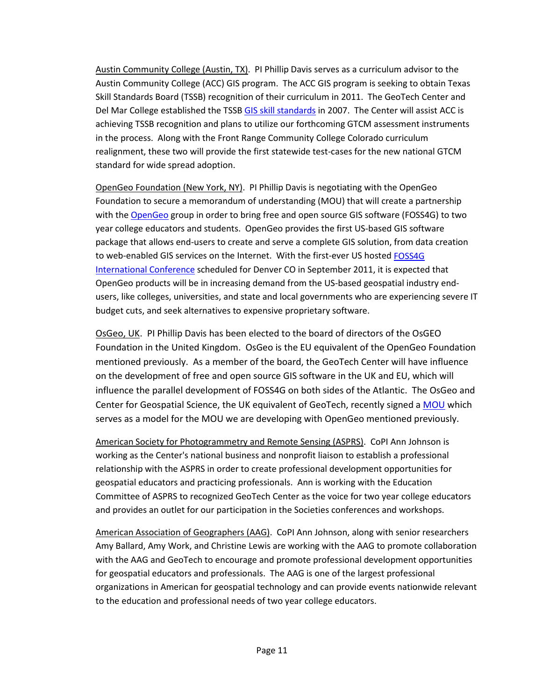Austin Community College (Austin, TX). PI Phillip Davis serves as a curriculum advisor to the Austin Community College (ACC) GIS program. The ACC GIS program is seeking to obtain Texas Skill Standards Board (TSSB) recognition of their curriculum in 2011. The GeoTech Center and Del Mar College established the TSSB [GIS skill standards](http://www.tssb.org/wwwpages/repos/gis/index.htm) in 2007. The Center will assist ACC is achieving TSSB recognition and plans to utilize our forthcoming GTCM assessment instruments in the process. Along with the Front Range Community College Colorado curriculum realignment, these two will provide the first statewide test-cases for the new national GTCM standard for wide spread adoption.

OpenGeo Foundation (New York, NY). PI Phillip Davis is negotiating with the OpenGeo Foundation to secure a memorandum of understanding (MOU) that will create a partnership with the [OpenGeo](http://opengeo.org/) group in order to bring free and open source GIS software (FOSS4G) to two year college educators and students. OpenGeo provides the first US-based GIS software package that allows end-users to create and serve a complete GIS solution, from data creation to web-enabled GIS services on the Internet. With the first-ever US hosted [FOSS4G](http://foss4g.org/static/index.html)  [International Conference](http://foss4g.org/static/index.html) scheduled for Denver CO in September 2011, it is expected that OpenGeo products will be in increasing demand from the US-based geospatial industry endusers, like colleges, universities, and state and local governments who are experiencing severe IT budget cuts, and seek alternatives to expensive proprietary software.

OsGeo, UK. PI Phillip Davis has been elected to the board of directors of the OsGEO Foundation in the United Kingdom. OsGeo is the EU equivalent of the OpenGeo Foundation mentioned previously. As a member of the board, the GeoTech Center will have influence on the development of free and open source GIS software in the UK and EU, which will influence the parallel development of FOSS4G on both sides of the Atlantic. The OsGeo and Center for Geospatial Science, the UK equivalent of GeoTech, recently signed a [MOU](http://www.osgeo.org/node/1071) which serves as a model for the MOU we are developing with OpenGeo mentioned previously.

American Society for Photogrammetry and Remote Sensing (ASPRS). CoPI Ann Johnson is working as the Center's national business and nonprofit liaison to establish a professional relationship with the ASPRS in order to create professional development opportunities for geospatial educators and practicing professionals. Ann is working with the Education Committee of ASPRS to recognized GeoTech Center as the voice for two year college educators and provides an outlet for our participation in the Societies conferences and workshops.

American Association of Geographers (AAG). CoPI Ann Johnson, along with senior researchers Amy Ballard, Amy Work, and Christine Lewis are working with the AAG to promote collaboration with the AAG and GeoTech to encourage and promote professional development opportunities for geospatial educators and professionals. The AAG is one of the largest professional organizations in American for geospatial technology and can provide events nationwide relevant to the education and professional needs of two year college educators.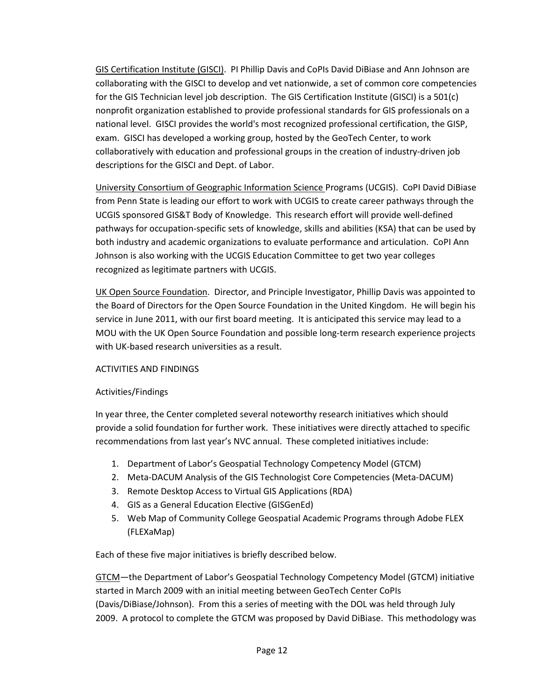GIS Certification Institute (GISCI). PI Phillip Davis and CoPIs David DiBiase and Ann Johnson are collaborating with the GISCI to develop and vet nationwide, a set of common core competencies for the GIS Technician level job description. The GIS Certification Institute (GISCI) is a 501(c) nonprofit organization established to provide professional standards for GIS professionals on a national level. GISCI provides the world's most recognized professional certification, the GISP, exam. GISCI has developed a working group, hosted by the GeoTech Center, to work collaboratively with education and professional groups in the creation of industry-driven job descriptions for the GISCI and Dept. of Labor.

University Consortium of Geographic Information Science Programs (UCGIS). CoPI David DiBiase from Penn State is leading our effort to work with UCGIS to create career pathways through the UCGIS sponsored GIS&T Body of Knowledge. This research effort will provide well-defined pathways for occupation-specific sets of knowledge, skills and abilities (KSA) that can be used by both industry and academic organizations to evaluate performance and articulation. CoPI Ann Johnson is also working with the UCGIS Education Committee to get two year colleges recognized as legitimate partners with UCGIS.

UK Open Source Foundation. Director, and Principle Investigator, Phillip Davis was appointed to the Board of Directors for the Open Source Foundation in the United Kingdom. He will begin his service in June 2011, with our first board meeting. It is anticipated this service may lead to a MOU with the UK Open Source Foundation and possible long-term research experience projects with UK-based research universities as a result.

## ACTIVITIES AND FINDINGS

## Activities/Findings

In year three, the Center completed several noteworthy research initiatives which should provide a solid foundation for further work. These initiatives were directly attached to specific recommendations from last year's NVC annual. These completed initiatives include:

- 1. Department of Labor's Geospatial Technology Competency Model (GTCM)
- 2. Meta-DACUM Analysis of the GIS Technologist Core Competencies (Meta-DACUM)
- 3. Remote Desktop Access to Virtual GIS Applications (RDA)
- 4. GIS as a General Education Elective (GISGenEd)
- 5. Web Map of Community College Geospatial Academic Programs through Adobe FLEX (FLEXaMap)

Each of these five major initiatives is briefly described below.

GTCM—the Department of Labor's Geospatial Technology Competency Model (GTCM) initiative started in March 2009 with an initial meeting between GeoTech Center CoPIs (Davis/DiBiase/Johnson). From this a series of meeting with the DOL was held through July 2009. A protocol to complete the GTCM was proposed by David DiBiase. This methodology was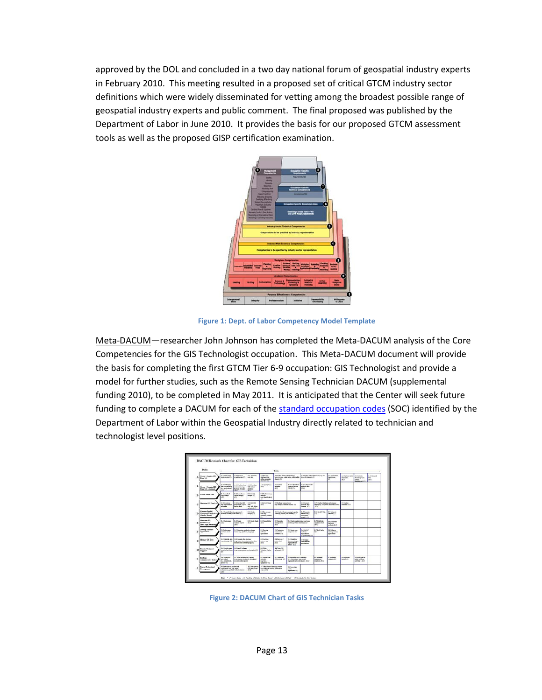approved by the DOL and concluded in a two day national forum of geospatial industry experts in February 2010. This meeting resulted in a proposed set of critical GTCM industry sector definitions which were widely disseminated for vetting among the broadest possible range of geospatial industry experts and public comment. The final proposed was published by the Department of Labor in June 2010. It provides the basis for our proposed GTCM assessment tools as well as the proposed GISP certification examination.



**Figure 1: Dept. of Labor Competency Model Template**

Meta-DACUM—researcher John Johnson has completed the Meta-DACUM analysis of the Core Competencies for the GIS Technologist occupation. This Meta-DACUM document will provide the basis for completing the first GTCM Tier 6-9 occupation: GIS Technologist and provide a model for further studies, such as the Remote Sensing Technician DACUM (supplemental funding 2010), to be completed in May 2011. It is anticipated that the Center will seek future funding to complete a DACUM for each of the [standard occupation codes](http://online.onetcenter.org/find/quick?s=geospatial) (SOC) identified by the Department of Labor within the Geospatial Industry directly related to technician and technologist level positions.

|              | Dailer.                                                                     |                                                                      |                                                                                             |                                                                                                                      |                                                                                                | Tads.                                                                                   |                                                                                        |                                                                        |                                                                  |                                                  |                                                     |                                                                           |                                   |  |
|--------------|-----------------------------------------------------------------------------|----------------------------------------------------------------------|---------------------------------------------------------------------------------------------|----------------------------------------------------------------------------------------------------------------------|------------------------------------------------------------------------------------------------|-----------------------------------------------------------------------------------------|----------------------------------------------------------------------------------------|------------------------------------------------------------------------|------------------------------------------------------------------|--------------------------------------------------|-----------------------------------------------------|---------------------------------------------------------------------------|-----------------------------------|--|
| A            | Coote   Acquire GB<br>$2mn^{n}$ (3)                                         | A-1 Defea date<br><b><i><u>Incident of ATT</u></i></b>               | <b>A-2 Removals</b><br><b>HARVE AN IT</b>                                                   | <b>A.O. Parchaeo</b><br>A-4 Davalia<br>see day<br><b>Exhibition</b> St. A.<br><b>Adher permanent</b><br>emittent (C) |                                                                                                | to 1 Challen Shallen Indian reduced<br>Information and the Mine Advised in<br>dampt (C) |                                                                                        | A-4 Delive Boken Belgrich in in a wife<br><b>Now A Breakfield Ch.</b>  |                                                                  | A-7 (3300) band<br><b>Backletters</b><br>×       | <b>LETvilien Milan</b><br><b>Rathmetin</b><br>skin. | <b>Littleton</b><br><b>Mandelpoint</b><br><b>APRIL</b><br><b>GRAND F/</b> | A-10 Grounds<br>l em<br><b>AO</b> |  |
| $\mathbf{A}$ | Creme / Angeles CEL                                                         | A 61 Determine<br>data compensation<br>ing provision.)<br>and it     | A-11 Parliam Arts<br>amounts a<br><b>Interest Science</b>                                   | <b>A 41 Provides</b><br><b><i><u>SIX Support</u></i></b><br>shiring                                                  | A-44 DAITA" dela<br>an.                                                                        | 6.03 Oren<br><b><i><u>menden</u></i></b><br>$\overline{40}$                             | A 64 Collect Rdd<br><b><i><u>Incention</u></i></b> data vite<br>019.05                 | ALLY Culture Kinki<br>expires Arm<br>di che                            |                                                                  |                                                  |                                                     |                                                                           |                                   |  |
| n            | Crass Sanya Tara                                                            | 5-4 firm back<br>ner innen<br>a.                                     | <b>A.A.A. and proven</b><br><b>AutoCompate</b><br>m                                         | 6-1 hwith<br><b>INNER</b> (C)                                                                                        | <b>E-4 Package image</b><br>serious.<br>Ing death wind                                         |                                                                                         |                                                                                        |                                                                        |                                                                  |                                                  |                                                     |                                                                           |                                   |  |
| c            | Materials GDI Daraf (1)                                                     | O 4 Swraing to<br>date majorizzazioni<br>schedules                   | 04 Emminutes<br>provident that for<br>naviers done                                          | OR RAILYON<br>m<br>Ing ant Alon.<br>spherical (1)                                                                    | CHONOCAN<br>$-0.05$                                                                            | O 4 Buthala' sepison layour<br>Ing. Imagery, Buston, level (1)                          |                                                                                        | <b>Call Course</b><br><b>School Are</b><br><b>SHOP IT!</b>             | 07 Crahamissinae periosystem                                     | resing this crossmes, traint room, indicate      | <b>DAKIMBAN</b><br><b>Norwicky (E.C.)</b>           |                                                                           |                                   |  |
| ь            | <b>Continue Teacher</b><br><b>New reset of America</b><br>Nems Rend         | <b>But Cares Models by groom &amp;</b><br>plastic subb. for date (1) | E-2-Deader<br>width (C)                                                                     |                                                                                                                      | E-1 Personnel<br><b>Telefaul</b><br>prendits rebell                                            | <b>D-4 Coulant Degreeming (e.g. vig.</b><br>(1) Identity resides and related            |                                                                                        | 5-1 Genetic<br>delatested<br>Ancora 4<br>ment of                       | E-EGAINTENA<br>in.                                               | <b>B-7 Integret</b><br><b>Easte (C)</b>          |                                                     |                                                                           |                                   |  |
| Σ            | Generate Gilli<br>Products <sup>2</sup> (S)<br><b>Send copy, decreasing</b> | <b>B.I Chefuresen</b><br>18.03                                       | <b>B-D-Deale</b><br><b>RIGHTS SOUTH</b><br>diam <sup>2</sup>                                | <b>E-3 Count charge</b><br><b>WATER</b>                                                                              | <b>E-4 Coup Miller</b><br><b>MAD</b>                                                           | <b>B.P Classroom</b><br>meling later<br>40                                              | S-4 Charly pupils shake bra. Inpre-<br>brakes, preten, exhibite (Eri)                  |                                                                        | <b>B.7 Dunman</b><br><b><i><u>Saini professor</u></i></b><br>क्र | Editorian<br><b>Tard com</b><br>public of 15     |                                                     |                                                                           |                                   |  |
| r            | <b>Develop Selector</b><br><b>Applications</b>                              | <b>F-1 Endowment</b><br>adhean am b<br>$\sim$                        | F-17 between a splittation change.<br>fame by platine, legrept                              |                                                                                                                      | <b>F-1-Tenning</b><br>authores.<br><b>ASSESSMENT</b>                                           | <b>Edit Contention</b><br>processing<br>offers (C)                                      | <b>E-3 County many</b><br>teachers (P)                                                 | <b>FAIRANCE</b><br>a discuss<br>enterior<br><b>But Tells Kell (FT)</b> | <b>P-7 Build belg</b><br><b>King</b>                             | <b>Fd Rdame</b><br>science contra-<br>extentions |                                                     |                                                                           |                                   |  |
| ċ            | Meanor Gift Date                                                            | G1 EASUA An<br>City spinster, and                                    | 0-2 Obamics Ric Anches<br>this cours dearning parlies dow.<br>and dearest leased woman of 3 |                                                                                                                      | D.E.Au/Knu./<br>seniors has<br><b>MAY</b>                                                      | <b>GATILIAN</b><br>nation date<br>40                                                    | G-F Divisions<br>date according to:<br><b>PERSONAL PRO</b><br>select of ch             | <b>Int Antigs</b><br><b><i><u>SENTING</u></i></b><br>----              |                                                                  |                                                  |                                                     |                                                                           |                                   |  |
| ×            | <b>Provide Technical</b><br>Tepper?                                         | <b>Bid Bandha saus</b><br>m                                          | <b>K.J. band Solman</b><br>telecal primer by administrator public (1)                       |                                                                                                                      | <b>But Wide</b><br>Technical Dailer                                                            | <b>B.A Tracy (M)</b><br>minerals) (C)                                                   |                                                                                        |                                                                        |                                                                  |                                                  |                                                     |                                                                           |                                   |  |
| ı            | <b>Partishe</b><br><b>Maintenance Techo</b>                                 | <b>14 Consense</b><br>with others<br>the creditorial.<br>Motor (41)  | 1-5 Wein-informational county.<br>is a praise indeed proclass.<br>management of the         |                                                                                                                      | <b>60 Ferrari and</b><br>administ<br>Ing fine<br><b>EXEMPTED</b>                               | <b>Ind Constitute</b><br>OR projects (C)                                                | of Gamese (3) almoster<br>to a committees and grown.<br>manipulated contemporal (2012) |                                                                        | <b>S-I Steeler</b><br>easiatives!<br>massimes all all            | <b>SC Steelers</b><br>$m$ ka A                   | <b>Infi Superinte</b><br>Mean (C)                   | of the factories in<br>while relative<br>sees and                         |                                   |  |
| v            | <b>Parras Fredericked</b><br>Development                                    | <b>Bill Park size's in professional</b><br>wherever log and going    | All Funksigers in<br>05 and group<br>and it<br>exhaustions, political exhibitionistic       |                                                                                                                      | 3-7 Take a threated weighing constant<br>ing to be and twisting it when they<br><b>EDMONTO</b> |                                                                                         | <b><i><u><i><u>Additional Asian</u></i></u></i></b><br>within.                         |                                                                        |                                                                  |                                                  |                                                     |                                                                           |                                   |  |

**Figure 2: DACUM Chart of GIS Technician Tasks**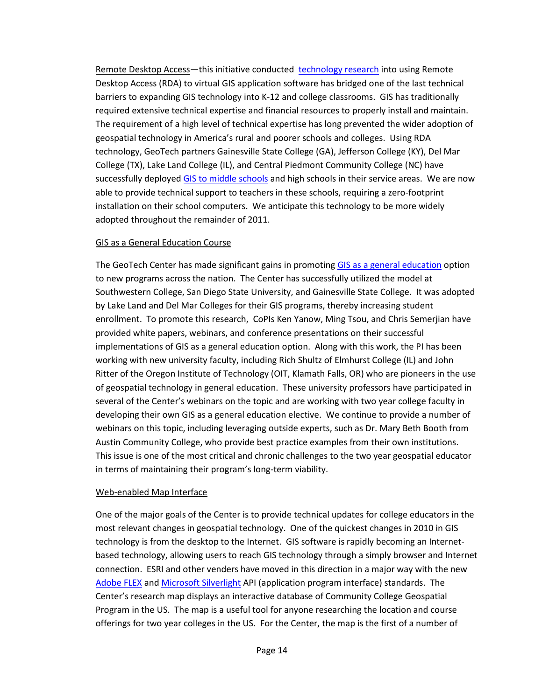Remote Desktop Access—this initiative conducted [technology research](http://www.geotechcenter.org/Projects/Research-Projects/Remote-Desktop-Access-to-GIS-Applications) into using Remote Desktop Access (RDA) to virtual GIS application software has bridged one of the last technical barriers to expanding GIS technology into K-12 and college classrooms. GIS has traditionally required extensive technical expertise and financial resources to properly install and maintain. The requirement of a high level of technical expertise has long prevented the wider adoption of geospatial technology in America's rural and poorer schools and colleges. Using RDA technology, GeoTech partners Gainesville State College (GA), Jefferson College (KY), Del Mar College (TX), Lake Land College (IL), and Central Piedmont Community College (NC) have successfully deployed [GIS to middle schools](http://www.geotechcenter.org/News-Media/Videos/GeoTech-Center-Remote-Desktop-Virtualization-Project) and high schools in their service areas. We are now able to provide technical support to teachers in these schools, requiring a zero-footprint installation on their school computers. We anticipate this technology to be more widely adopted throughout the remainder of 2011.

## GIS as a General Education Course

The GeoTech Center has made significant gains in promoting [GIS as a general education](http://delmarcollege.na5.acrobat.com/p88813491/?launcher=false&fcsContent=true&pbMode=normal) option to new programs across the nation. The Center has successfully utilized the model at Southwestern College, San Diego State University, and Gainesville State College. It was adopted by Lake Land and Del Mar Colleges for their GIS programs, thereby increasing student enrollment. To promote this research, CoPIs Ken Yanow, Ming Tsou, and Chris Semerjian have provided white papers, webinars, and conference presentations on their successful implementations of GIS as a general education option. Along with this work, the PI has been working with new university faculty, including Rich Shultz of Elmhurst College (IL) and John Ritter of the Oregon Institute of Technology (OIT, Klamath Falls, OR) who are pioneers in the use of geospatial technology in general education. These university professors have participated in several of the Center's webinars on the topic and are working with two year college faculty in developing their own GIS as a general education elective. We continue to provide a number of webinars on this topic, including leveraging outside experts, such as Dr. Mary Beth Booth from Austin Community College, who provide best practice examples from their own institutions. This issue is one of the most critical and chronic challenges to the two year geospatial educator in terms of maintaining their program's long-term viability.

#### Web-enabled Map Interface

One of the major goals of the Center is to provide technical updates for college educators in the most relevant changes in geospatial technology. One of the quickest changes in 2010 in GIS technology is from the desktop to the Internet. GIS software is rapidly becoming an Internetbased technology, allowing users to reach GIS technology through a simply browser and Internet connection. ESRI and other venders have moved in this direction in a major way with the new [Adobe FLEX](http://216.69.2.35/flexviewer/index.html) and [Microsoft Silverlight](http://216.69.2.32/test3/default.html) API (application program interface) standards. The Center's research map displays an interactive database of Community College Geospatial Program in the US. The map is a useful tool for anyone researching the location and course offerings for two year colleges in the US. For the Center, the map is the first of a number of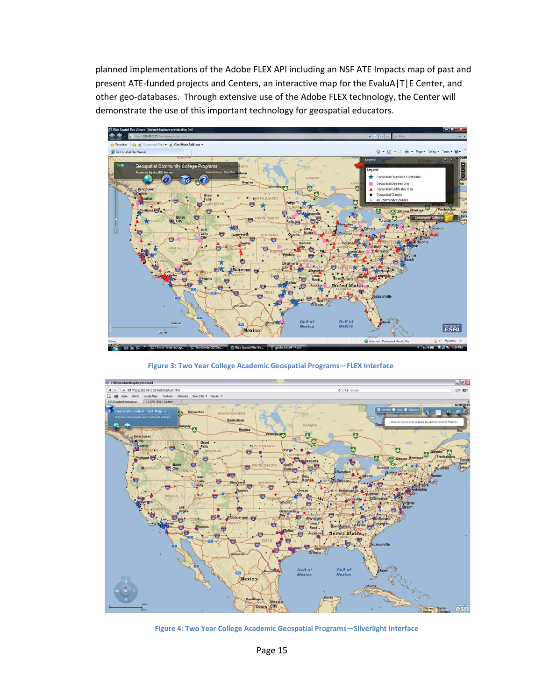planned implementations of the Adobe FLEX API including an NSF ATE Impacts map of past and present ATE-funded projects and Centers, an interactive map for the EvaluA|T|E Center, and other geo-databases. Through extensive use of the Adobe FLEX technology, the Center will demonstrate the use of this important technology for geospatial educators.



**Figure 3: Two Year College Academic Geospatial Programs—FLEX Interface**



**Figure 4: Two Year College Academic Geospatial Programs—Silverlight Interface**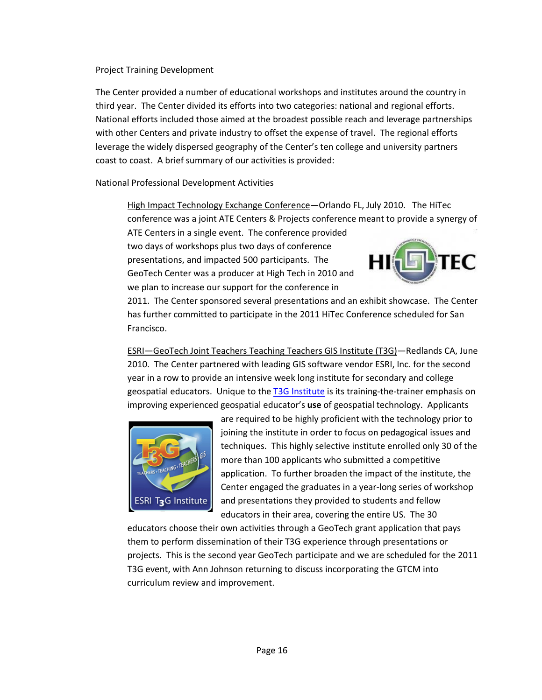#### Project Training Development

The Center provided a number of educational workshops and institutes around the country in third year. The Center divided its efforts into two categories: national and regional efforts. National efforts included those aimed at the broadest possible reach and leverage partnerships with other Centers and private industry to offset the expense of travel. The regional efforts leverage the widely dispersed geography of the Center's ten college and university partners coast to coast. A brief summary of our activities is provided:

National Professional Development Activities

High Impact Technology Exchange Conference—Orlando FL, July 2010. The HiTec conference was a joint ATE Centers & Projects conference meant to provide a synergy of

ATE Centers in a single event. The conference provided two days of workshops plus two days of conference presentations, and impacted 500 participants. The GeoTech Center was a producer at High Tech in 2010 and we plan to increase our support for the conference in



2011. The Center sponsored several presentations and an exhibit showcase. The Center has further committed to participate in the 2011 HiTec Conference scheduled for San Francisco.

ESRI—GeoTech Joint Teachers Teaching Teachers GIS Institute (T3G)—Redlands CA, June 2010. The Center partnered with leading GIS software vendor ESRI, Inc. for the second year in a row to provide an intensive week long institute for secondary and college geospatial educators. Unique to the [T3G Institute](http://www.geotechcenter.org/Partners/Featured-Partner/T3G-Teachers-Teaching-Teachers-GIS) is its training-the-trainer emphasis on improving experienced geospatial educator's **use** of geospatial technology. Applicants



are required to be highly proficient with the technology prior to joining the institute in order to focus on pedagogical issues and techniques. This highly selective institute enrolled only 30 of the more than 100 applicants who submitted a competitive application. To further broaden the impact of the institute, the Center engaged the graduates in a year-long series of workshop and presentations they provided to students and fellow educators in their area, covering the entire US. The 30

educators choose their own activities through a GeoTech grant application that pays them to perform dissemination of their T3G experience through presentations or projects. This is the second year GeoTech participate and we are scheduled for the 2011 T3G event, with Ann Johnson returning to discuss incorporating the GTCM into curriculum review and improvement.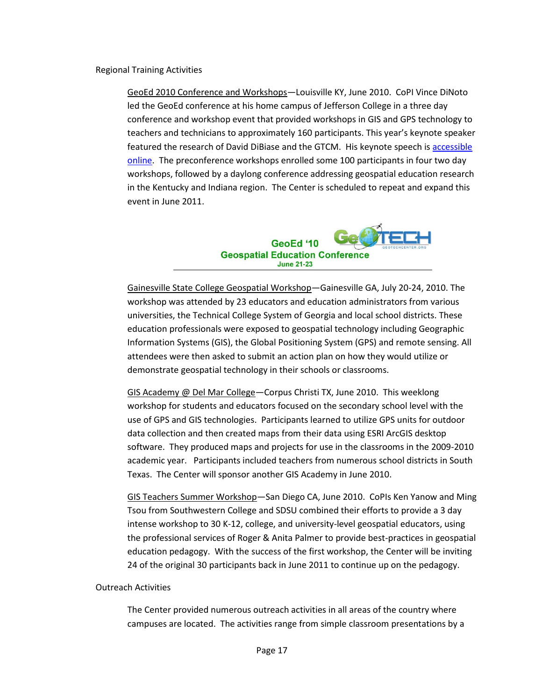Regional Training Activities

GeoEd 2010 Conference and Workshops—Louisville KY, June 2010. CoPI Vince DiNoto led the GeoEd conference at his home campus of Jefferson College in a three day conference and workshop event that provided workshops in GIS and GPS technology to teachers and technicians to approximately 160 participants. This year's keynote speaker featured the research of David DiBiase and the GTCM. His keynote speech i[s accessible](http://www.geotechcenter.org/News-Media/Videos/2010-The-Year-the-Geospatial-Industry-Came-of-Age)  [online.](http://www.geotechcenter.org/News-Media/Videos/2010-The-Year-the-Geospatial-Industry-Came-of-Age) The preconference workshops enrolled some 100 participants in four two day workshops, followed by a daylong conference addressing geospatial education research in the Kentucky and Indiana region. The Center is scheduled to repeat and expand this event in June 2011.



Gainesville State College Geospatial Workshop—Gainesville GA, July 20-24, 2010. The workshop was attended by 23 educators and education administrators from various universities, the Technical College System of Georgia and local school districts. These education professionals were exposed to geospatial technology including Geographic Information Systems (GIS), the Global Positioning System (GPS) and remote sensing. All attendees were then asked to submit an action plan on how they would utilize or demonstrate geospatial technology in their schools or classrooms.

GIS Academy @ Del Mar College-Corpus Christi TX, June 2010. This weeklong workshop for students and educators focused on the secondary school level with the use of GPS and GIS technologies. Participants learned to utilize GPS units for outdoor data collection and then created maps from their data using ESRI ArcGIS desktop software. They produced maps and projects for use in the classrooms in the 2009-2010 academic year. Participants included teachers from numerous school districts in South Texas. The Center will sponsor another GIS Academy in June 2010.

GIS Teachers Summer Workshop—San Diego CA, June 2010. CoPIs Ken Yanow and Ming Tsou from Southwestern College and SDSU combined their efforts to provide a 3 day intense workshop to 30 K-12, college, and university-level geospatial educators, using the professional services of Roger & Anita Palmer to provide best-practices in geospatial education pedagogy. With the success of the first workshop, the Center will be inviting 24 of the original 30 participants back in June 2011 to continue up on the pedagogy.

#### Outreach Activities

The Center provided numerous outreach activities in all areas of the country where campuses are located. The activities range from simple classroom presentations by a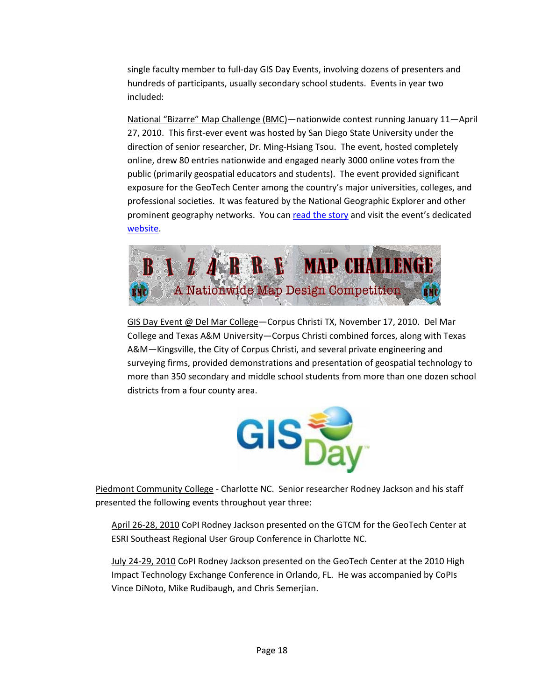single faculty member to full-day GIS Day Events, involving dozens of presenters and hundreds of participants, usually secondary school students. Events in year two included:

National "Bizarre" Map Challenge (BMC)—nationwide contest running January 11—April 27, 2010. This first-ever event was hosted by San Diego State University under the direction of senior researcher, Dr. Ming-Hsiang Tsou. The event, hosted completely online, drew 80 entries nationwide and engaged nearly 3000 online votes from the public (primarily geospatial educators and students). The event provided significant exposure for the GeoTech Center among the country's major universities, colleges, and professional societies. It was featured by the National Geographic Explorer and other prominent geography networks. You can [read the story](http://newscenter.sdsu.edu/sdsu_newscenter/news.aspx?s=72067) and visit the event's dedicated [website.](http://bizarremap.sdsu.edu/)



GIS Day Event @ Del Mar College—Corpus Christi TX, November 17, 2010. Del Mar College and Texas A&M University—Corpus Christi combined forces, along with Texas A&M—Kingsville, the City of Corpus Christi, and several private engineering and surveying firms, provided demonstrations and presentation of geospatial technology to more than 350 secondary and middle school students from more than one dozen school districts from a four county area.



Piedmont Community College - Charlotte NC. Senior researcher Rodney Jackson and his staff presented the following events throughout year three:

April 26-28, 2010 CoPI Rodney Jackson presented on the GTCM for the GeoTech Center at ESRI Southeast Regional User Group Conference in Charlotte NC.

July 24-29, 2010 CoPI Rodney Jackson presented on the GeoTech Center at the 2010 High Impact Technology Exchange Conference in Orlando, FL. He was accompanied by CoPIs Vince DiNoto, Mike Rudibaugh, and Chris Semerjian.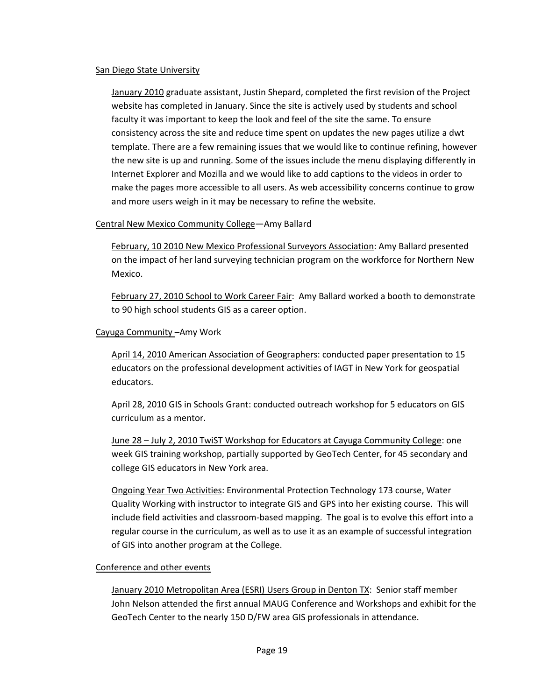#### San Diego State University

January 2010 graduate assistant, Justin Shepard, completed the first revision of the Project website has completed in January. Since the site is actively used by students and school faculty it was important to keep the look and feel of the site the same. To ensure consistency across the site and reduce time spent on updates the new pages utilize a dwt template. There are a few remaining issues that we would like to continue refining, however the new site is up and running. Some of the issues include the menu displaying differently in Internet Explorer and Mozilla and we would like to add captions to the videos in order to make the pages more accessible to all users. As web accessibility concerns continue to grow and more users weigh in it may be necessary to refine the website.

## Central New Mexico Community College—Amy Ballard

February, 10 2010 New Mexico Professional Surveyors Association: Amy Ballard presented on the impact of her land surveying technician program on the workforce for Northern New Mexico.

February 27, 2010 School to Work Career Fair: Amy Ballard worked a booth to demonstrate to 90 high school students GIS as a career option.

#### Cayuga Community –Amy Work

April 14, 2010 American Association of Geographers: conducted paper presentation to 15 educators on the professional development activities of IAGT in New York for geospatial educators.

April 28, 2010 GIS in Schools Grant: conducted outreach workshop for 5 educators on GIS curriculum as a mentor.

June 28 – July 2, 2010 TwiST Workshop for Educators at Cayuga Community College: one week GIS training workshop, partially supported by GeoTech Center, for 45 secondary and college GIS educators in New York area.

Ongoing Year Two Activities: Environmental Protection Technology 173 course, Water Quality Working with instructor to integrate GIS and GPS into her existing course. This will include field activities and classroom-based mapping. The goal is to evolve this effort into a regular course in the curriculum, as well as to use it as an example of successful integration of GIS into another program at the College.

#### Conference and other events

January 2010 Metropolitan Area (ESRI) Users Group in Denton TX: Senior staff member John Nelson attended the first annual MAUG Conference and Workshops and exhibit for the GeoTech Center to the nearly 150 D/FW area GIS professionals in attendance.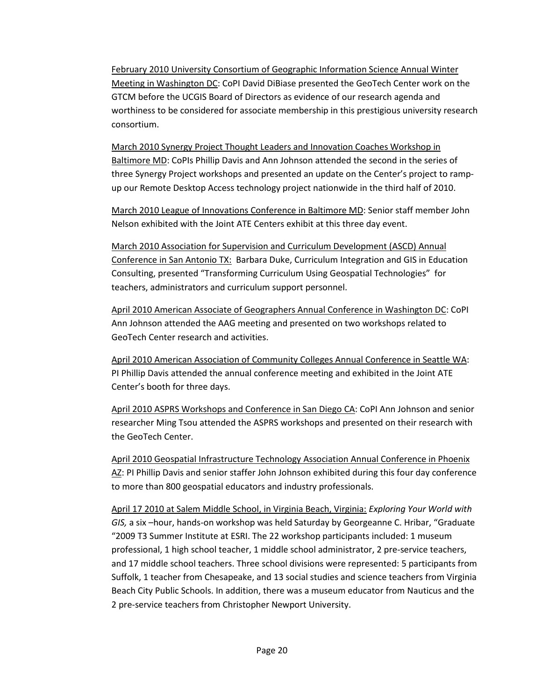February 2010 University Consortium of Geographic Information Science Annual Winter Meeting in Washington DC: CoPI David DiBiase presented the GeoTech Center work on the GTCM before the UCGIS Board of Directors as evidence of our research agenda and worthiness to be considered for associate membership in this prestigious university research consortium.

March 2010 Synergy Project Thought Leaders and Innovation Coaches Workshop in Baltimore MD: CoPIs Phillip Davis and Ann Johnson attended the second in the series of three Synergy Project workshops and presented an update on the Center's project to rampup our Remote Desktop Access technology project nationwide in the third half of 2010.

March 2010 League of Innovations Conference in Baltimore MD: Senior staff member John Nelson exhibited with the Joint ATE Centers exhibit at this three day event.

March 2010 Association for Supervision and Curriculum Development (ASCD) Annual Conference in San Antonio TX: Barbara Duke, Curriculum Integration and GIS in Education Consulting, presented "Transforming Curriculum Using Geospatial Technologies" for teachers, administrators and curriculum support personnel.

April 2010 American Associate of Geographers Annual Conference in Washington DC: CoPI Ann Johnson attended the AAG meeting and presented on two workshops related to GeoTech Center research and activities.

April 2010 American Association of Community Colleges Annual Conference in Seattle WA: PI Phillip Davis attended the annual conference meeting and exhibited in the Joint ATE Center's booth for three days.

April 2010 ASPRS Workshops and Conference in San Diego CA: CoPI Ann Johnson and senior researcher Ming Tsou attended the ASPRS workshops and presented on their research with the GeoTech Center.

April 2010 Geospatial Infrastructure Technology Association Annual Conference in Phoenix AZ: PI Phillip Davis and senior staffer John Johnson exhibited during this four day conference to more than 800 geospatial educators and industry professionals.

April 17 2010 at Salem Middle School, in Virginia Beach, Virginia: *Exploring Your World with GIS,* a six –hour, hands-on workshop was held Saturday by Georgeanne C. Hribar, "Graduate "2009 T3 Summer Institute at ESRI. The 22 workshop participants included: 1 museum professional, 1 high school teacher, 1 middle school administrator, 2 pre-service teachers, and 17 middle school teachers. Three school divisions were represented: 5 participants from Suffolk, 1 teacher from Chesapeake, and 13 social studies and science teachers from Virginia Beach City Public Schools. In addition, there was a museum educator from Nauticus and the 2 pre-service teachers from Christopher Newport University.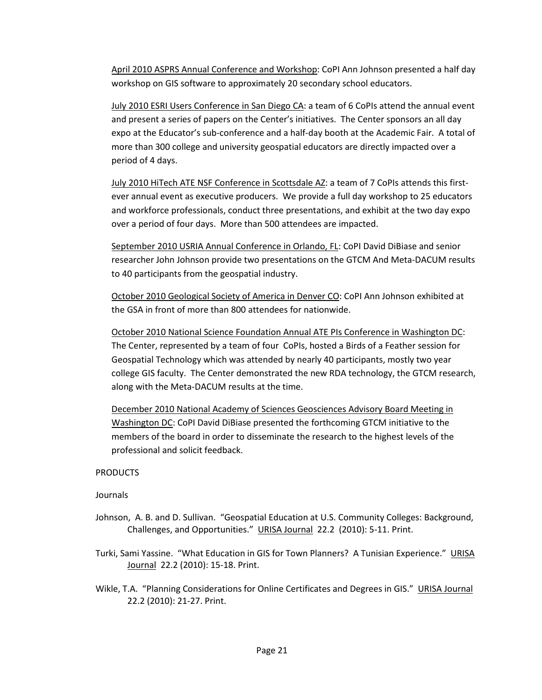April 2010 ASPRS Annual Conference and Workshop: CoPI Ann Johnson presented a half day workshop on GIS software to approximately 20 secondary school educators.

July 2010 ESRI Users Conference in San Diego CA: a team of 6 CoPIs attend the annual event and present a series of papers on the Center's initiatives. The Center sponsors an all day expo at the Educator's sub-conference and a half-day booth at the Academic Fair. A total of more than 300 college and university geospatial educators are directly impacted over a period of 4 days.

July 2010 HiTech ATE NSF Conference in Scottsdale AZ: a team of 7 CoPIs attends this firstever annual event as executive producers. We provide a full day workshop to 25 educators and workforce professionals, conduct three presentations, and exhibit at the two day expo over a period of four days. More than 500 attendees are impacted.

September 2010 USRIA Annual Conference in Orlando, FL: CoPI David DiBiase and senior researcher John Johnson provide two presentations on the GTCM And Meta-DACUM results to 40 participants from the geospatial industry.

October 2010 Geological Society of America in Denver CO: CoPI Ann Johnson exhibited at the GSA in front of more than 800 attendees for nationwide.

October 2010 National Science Foundation Annual ATE PIs Conference in Washington DC: The Center, represented by a team of four CoPIs, hosted a Birds of a Feather session for Geospatial Technology which was attended by nearly 40 participants, mostly two year college GIS faculty. The Center demonstrated the new RDA technology, the GTCM research, along with the Meta-DACUM results at the time.

December 2010 National Academy of Sciences Geosciences Advisory Board Meeting in Washington DC: CoPI David DiBiase presented the forthcoming GTCM initiative to the members of the board in order to disseminate the research to the highest levels of the professional and solicit feedback.

#### PRODUCTS

#### Journals

- Johnson, A. B. and D. Sullivan. "Geospatial Education at U.S. Community Colleges: Background, Challenges, and Opportunities." URISA Journal 22.2 (2010): 5-11. Print.
- Turki, Sami Yassine. "What Education in GIS for Town Planners? A Tunisian Experience." URISA Journal 22.2 (2010): 15-18. Print.
- Wikle, T.A. "Planning Considerations for Online Certificates and Degrees in GIS." URISA Journal 22.2 (2010): 21-27. Print.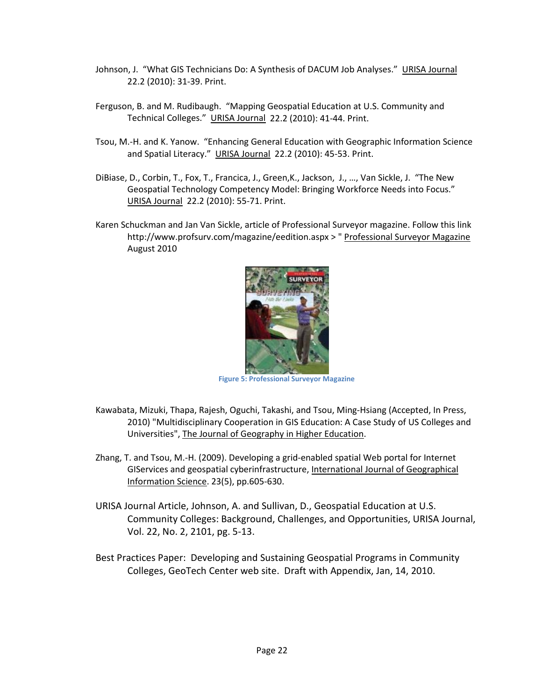- Johnson, J. "What GIS Technicians Do: A Synthesis of DACUM Job Analyses." URISA Journal 22.2 (2010): 31-39. Print.
- Ferguson, B. and M. Rudibaugh. "Mapping Geospatial Education at U.S. Community and Technical Colleges." URISA Journal 22.2 (2010): 41-44. Print.
- Tsou, M.-H. and K. Yanow. "Enhancing General Education with Geographic Information Science and Spatial Literacy." URISA Journal 22.2 (2010): 45-53. Print.
- DiBiase, D., Corbin, T., Fox, T., Francica, J., Green,K., Jackson, J., …, Van Sickle, J. "The New Geospatial Technology Competency Model: Bringing Workforce Needs into Focus." URISA Journal 22.2 (2010): 55-71. Print.
- Karen Schuckman and Jan Van Sickle, article of Professional Surveyor magazine. Follow [this link](http://e-ditionsbyfry.com/Olive/ODE/PRS/Default.aspx?href=PRS%2F2010%2F08%2F01&pageno=26&view=document) <http://www.profsurv.com/magazine/eedition.aspx> > " Professional Surveyor Magazine August 2010



**Figure 5: Professional Surveyor Magazine**

- Kawabata, Mizuki, Thapa, Rajesh, Oguchi, Takashi, and Tsou, Ming-Hsiang (Accepted, In Press, 2010) "Multidisciplinary Cooperation in GIS Education: A Case Study of US Colleges and Universities", The Journal of Geography in Higher Education.
- Zhang, T. and Tsou, M.-H. (2009). Developing a grid-enabled spatial Web portal for Internet GIServices and geospatial cyberinfrastructure, International Journal of Geographical Information Science. 23(5), pp.605-630.
- URISA Journal Article, Johnson, A. and Sullivan, D., Geospatial Education at U.S. Community Colleges: Background, Challenges, and Opportunities, URISA Journal, Vol. 22, No. 2, 2101, pg. 5-13.
- Best Practices Paper: Developing and Sustaining Geospatial Programs in Community Colleges, GeoTech Center web site. Draft with Appendix, Jan, 14, 2010.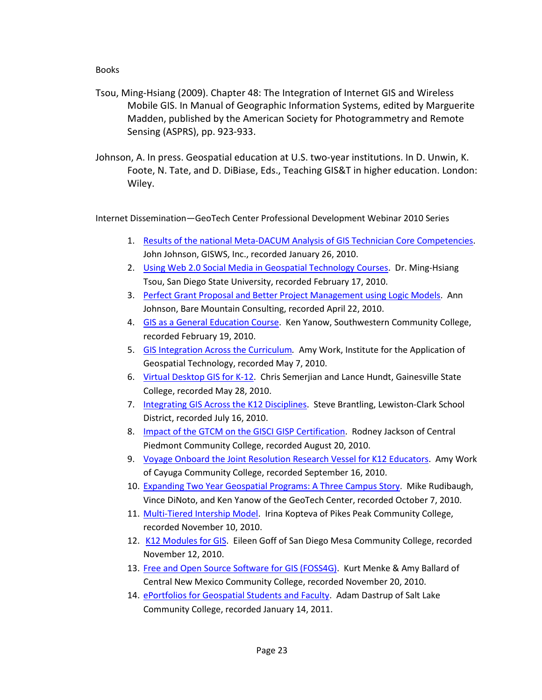#### Books

- Tsou, Ming-Hsiang (2009). Chapter 48: The Integration of Internet GIS and Wireless Mobile GIS. In Manual of Geographic Information Systems, edited by Marguerite Madden, published by the American Society for Photogrammetry and Remote Sensing (ASPRS), pp. 923-933.
- Johnson, A. In press. Geospatial education at U.S. two-year institutions. In D. Unwin, K. Foote, N. Tate, and D. DiBiase, Eds., Teaching GIS&T in higher education. London: Wiley.

Internet Dissemination—GeoTech Center Professional Development Webinar 2010 Series

- 1. [Results of the national Meta-DACUM Analysis of GIS Technician Core Competencies.](https://admin.na5.acrobat.com/_a783772738/p88593183/) John Johnson, GISWS, Inc., recorded January 26, 2010.
- 2. [Using Web 2.0 Social Media in Geospatial Technology Courses.](https://admin.na5.acrobat.com/_a783772738/p46623146/) Dr. Ming-Hsiang Tsou, San Diego State University, recorded February 17, 2010.
- 3. [Perfect Grant Proposal and Better Project Management using Logic Models.](http://admin.na5.acrobat.com/_a783772738/p23174630/) Ann Johnson, Bare Mountain Consulting, recorded April 22, 2010.
- 4. [GIS as a General Education Course.](https://admin.na5.acrobat.com/_a783772738/p88813491/) Ken Yanow, Southwestern Community College, recorded February 19, 2010.
- 5. [GIS Integration Across the Curriculum](https://admin.na5.acrobat.com/_a783772738/p78218612/)*.* Amy Work, Institute for the Application of Geospatial Technology, recorded May 7, 2010.
- 6. [Virtual Desktop GIS for K-12.](http://delmarcollege.na5.acrobat.com/p54714628/) Chris Semerjian and Lance Hundt, Gainesville State College, recorded May 28, 2010.
- 7. [Integrating GIS Across the K12 Disciplines.](http://delmarcollege.na5.acrobat.com/p13788378/) Steve Brantling, Lewiston-Clark School District, recorded July 16, 2010.
- 8. [Impact of the GTCM on the GISCI GISP Certification.](http://delmarcollege.na5.acrobat.com/p38417354/) Rodney Jackson of Central Piedmont Community College, recorded August 20, 2010.
- 9. [Voyage Onboard the Joint Resolution Research Vessel for K12 Educators.](http://delmarcollege.na5.acrobat.com/p33377136/) Amy Work of Cayuga Community College, recorded September 16, 2010.
- 10. [Expanding Two Year Geospatial Programs: A Three Campus Story.](http://delmarcollege.na5.acrobat.com/p96871437/) Mike Rudibaugh, Vince DiNoto, and Ken Yanow of the GeoTech Center, recorded October 7, 2010.
- 11. [Multi-Tiered Intership Model.](http://delmarcollege.na5.acrobat.com/p57585087/) Irina Kopteva of Pikes Peak Community College, recorded November 10, 2010.
- 12. [K12 Modules for GIS.](http://delmarcollege.na5.acrobat.com/p36743716/) Eileen Goff of San Diego Mesa Community College, recorded November 12, 2010.
- 13. [Free and Open Source Software for GIS \(FOSS4G\).](http://delmarcollege.na5.acrobat.com/p71412899/?launcher=false&fcsContent=true&pbMode=normal) Kurt Menke & Amy Ballard of Central New Mexico Community College, recorded November 20, 2010.
- 14. [ePortfolios for Geospatial Students and Faculty.](http://delmarcollege.na5.acrobat.com/p60848517/) Adam Dastrup of Salt Lake Community College, recorded January 14, 2011.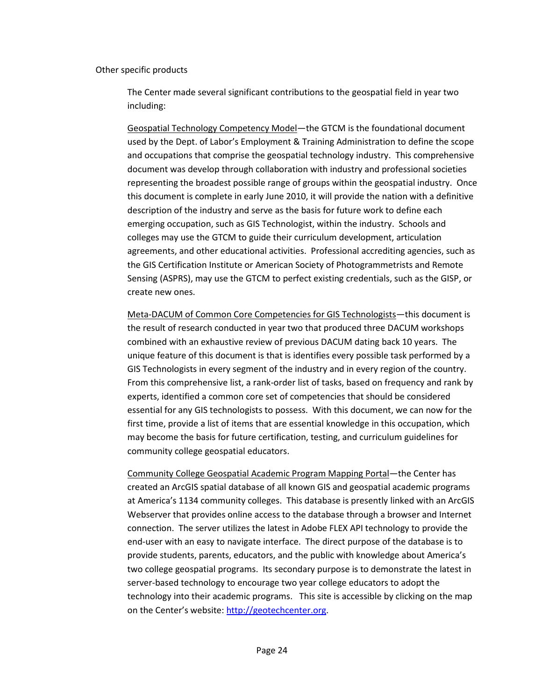#### Other specific products

The Center made several significant contributions to the geospatial field in year two including:

Geospatial Technology Competency Model—the GTCM is the foundational document used by the Dept. of Labor's Employment & Training Administration to define the scope and occupations that comprise the geospatial technology industry. This comprehensive document was develop through collaboration with industry and professional societies representing the broadest possible range of groups within the geospatial industry. Once this document is complete in early June 2010, it will provide the nation with a definitive description of the industry and serve as the basis for future work to define each emerging occupation, such as GIS Technologist, within the industry. Schools and colleges may use the GTCM to guide their curriculum development, articulation agreements, and other educational activities. Professional accrediting agencies, such as the GIS Certification Institute or American Society of Photogrammetrists and Remote Sensing (ASPRS), may use the GTCM to perfect existing credentials, such as the GISP, or create new ones.

Meta-DACUM of Common Core Competencies for GIS Technologists—this document is the result of research conducted in year two that produced three DACUM workshops combined with an exhaustive review of previous DACUM dating back 10 years. The unique feature of this document is that is identifies every possible task performed by a GIS Technologists in every segment of the industry and in every region of the country. From this comprehensive list, a rank-order list of tasks, based on frequency and rank by experts, identified a common core set of competencies that should be considered essential for any GIS technologists to possess. With this document, we can now for the first time, provide a list of items that are essential knowledge in this occupation, which may become the basis for future certification, testing, and curriculum guidelines for community college geospatial educators.

Community College Geospatial Academic Program Mapping Portal—the Center has created an ArcGIS spatial database of all known GIS and geospatial academic programs at America's 1134 community colleges. This database is presently linked with an ArcGIS Webserver that provides online access to the database through a browser and Internet connection. The server utilizes the latest in Adobe FLEX API technology to provide the end-user with an easy to navigate interface. The direct purpose of the database is to provide students, parents, educators, and the public with knowledge about America's two college geospatial programs. Its secondary purpose is to demonstrate the latest in server-based technology to encourage two year college educators to adopt the technology into their academic programs. This site is accessible by clicking on the map on the Center's website[: http://geotechcenter.org.](http://geotechcenter.org/)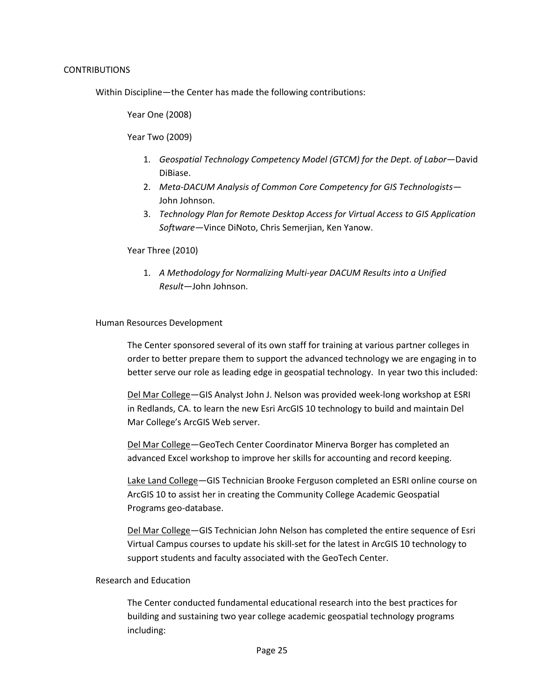Within Discipline—the Center has made the following contributions:

Year One (2008)

Year Two (2009)

- 1. *Geospatial Technology Competency Model (GTCM) for the Dept. of Labor*—David DiBiase.
- 2. *Meta-DACUM Analysis of Common Core Competency for GIS Technologists* John Johnson.
- 3. *Technology Plan for Remote Desktop Access for Virtual Access to GIS Application Software*—Vince DiNoto, Chris Semerjian, Ken Yanow.

Year Three (2010)

1. *A Methodology for Normalizing Multi-year DACUM Results into a Unified Result*—John Johnson.

#### Human Resources Development

The Center sponsored several of its own staff for training at various partner colleges in order to better prepare them to support the advanced technology we are engaging in to better serve our role as leading edge in geospatial technology. In year two this included:

Del Mar College—GIS Analyst John J. Nelson was provided week-long workshop at ESRI in Redlands, CA. to learn the new Esri ArcGIS 10 technology to build and maintain Del Mar College's ArcGIS Web server.

Del Mar College—GeoTech Center Coordinator Minerva Borger has completed an advanced Excel workshop to improve her skills for accounting and record keeping.

Lake Land College—GIS Technician Brooke Ferguson completed an ESRI online course on ArcGIS 10 to assist her in creating the Community College Academic Geospatial Programs geo-database.

Del Mar College—GIS Technician John Nelson has completed the entire sequence of Esri Virtual Campus courses to update his skill-set for the latest in ArcGIS 10 technology to support students and faculty associated with the GeoTech Center.

## Research and Education

The Center conducted fundamental educational research into the best practices for building and sustaining two year college academic geospatial technology programs including: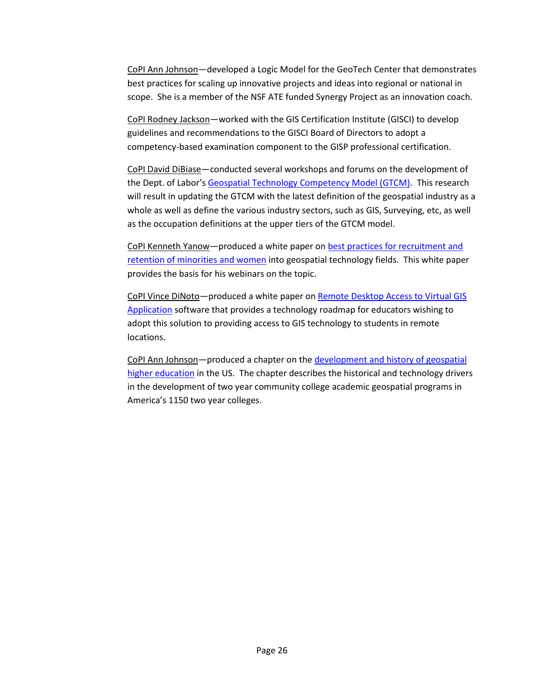CoPI Ann Johnson—developed a Logic Model for the GeoTech Center that demonstrates best practices for scaling up innovative projects and ideas into regional or national in scope. She is a member of the NSF ATE funded Synergy Project as an innovation coach.

CoPI Rodney Jackson—worked with the GIS Certification Institute (GISCI) to develop guidelines and recommendations to the GISCI Board of Directors to adopt a competency-based examination component to the GISP professional certification.

CoPI David DiBiase—conducted several workshops and forums on the development of the Dept. of Labor's [Geospatial Technology Competency Model \(GTCM\).](http://geotechcenter.org/LinkClick.aspx?fileticket=ZVXYasV7czY%3d&tabid=80) This research will result in updating the GTCM with the latest definition of the geospatial industry as a whole as well as define the various industry sectors, such as GIS, Surveying, etc, as well as the occupation definitions at the upper tiers of the GTCM model.

CoPI Kenneth Yanow—produced a white paper o[n best practices for recruitment and](http://geotechcenter.org/LinkClick.aspx?fileticket=A7CraA6ZWZM%3d&tabid=80)  [retention of minorities and women](http://geotechcenter.org/LinkClick.aspx?fileticket=A7CraA6ZWZM%3d&tabid=80) into geospatial technology fields. This white paper provides the basis for his webinars on the topic.

CoPI Vince DiNoto—produced a white paper on [Remote Desktop Access to Virtual GIS](http://geotechcenter.org/LinkClick.aspx?fileticket=Zf7UV0FmjTA%3d&tabid=161)  [Application](http://geotechcenter.org/LinkClick.aspx?fileticket=Zf7UV0FmjTA%3d&tabid=161) software that provides a technology roadmap for educators wishing to adopt this solution to providing access to GIS technology to students in remote locations.

CoPI Ann Johnson—produced a chapter on the [development and history of geospatial](http://geotechcenter.org/LinkClick.aspx?fileticket=wdZV3ajvN7s%3d&tabid=80)  [higher education](http://geotechcenter.org/LinkClick.aspx?fileticket=wdZV3ajvN7s%3d&tabid=80) in the US. The chapter describes the historical and technology drivers in the development of two year community college academic geospatial programs in America's 1150 two year colleges.